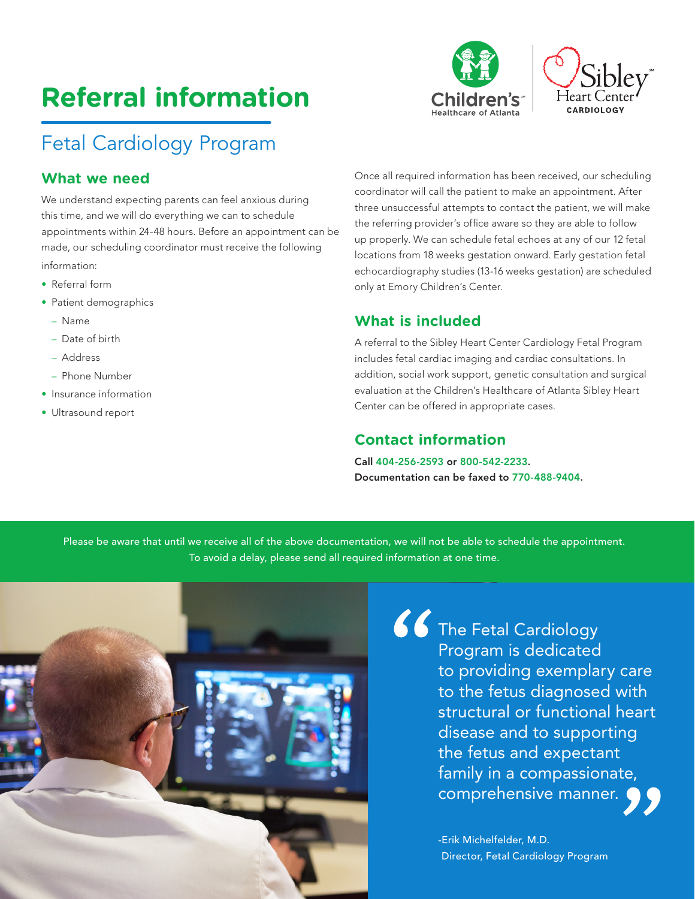# **Referral information**





### Fetal Cardiology Program

#### **What we need**

We understand expecting parents can feel anxious during this time, and we will do everything we can to schedule appointments within 24-48 hours. Before an appointment can be made, our scheduling coordinator must receive the following information:

- Referral form
- Patient demographics
	- Name
	- Date of birth
	- Address
	- Phone Number
- Insurance information
- Ultrasound report

Once all required information has been received, our scheduling coordinator will call the patient to make an appointment. After three unsuccessful attempts to contact the patient, we will make the referring provider's office aware so they are able to follow up properly. We can schedule fetal echoes at any of our 12 fetal locations from 18 weeks gestation onward. Early gestation fetal echocardiography studies (13-16 weeks gestation) are scheduled only at Emory Children's Center.

#### **What is included**

A referral to the Sibley Heart Center Cardiology Fetal Program includes fetal cardiac imaging and cardiac consultations. In addition, social work support, genetic consultation and surgical evaluation at the Children's Healthcare of Atlanta Sibley Heart Center can be offered in appropriate cases.

#### **Contact information**

Call 404-256-2593 or 800-542-2233. Documentation can be faxed to 770-488-9404.

Please be aware that until we receive all of the above documentation, we will not be able to schedule the appointment. To avoid a delay, please send all required information at one time.



**66** The Fetal Cardiology Program is dedicated to providing exemplary care to the fetus diagnosed with structural or functional heart disease and to supporting the fetus and expectant family in a compassionate, comprehensive manner.

> -Erik Michelfelder, M.D. Director, Fetal Cardiology Program